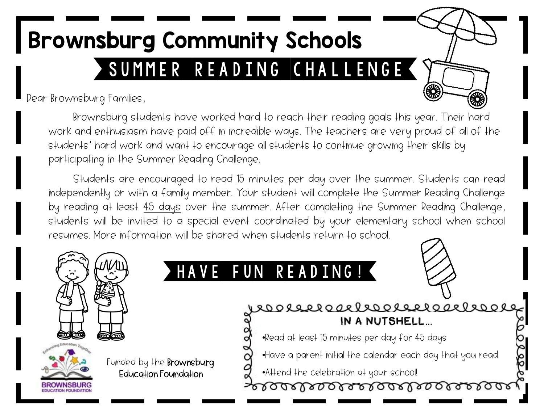## SUMMER READING CHALLENGE Brownsburg Community Schools

Dear Brownsburg Families,

Brownsburg students have worked hard to reach their reading goals this year. Their hard work and enthusiasm have paid off in incredible ways. The teachers are very proud of all of the students' hard work and want to encourage all students to continue growing their skills by participating in the Summer Reading Challenge.

Students are encouraged to read 15 minutes per day over the summer. Students can read independently or with a family member. Your student will complete the Summer Reading Challenge by reading at least 45 days over the summer. After completing the Summer Reading Challenge, students will be invited to a special event coordinated by your elementary school when school resumes. More information will be shared when students return to school.